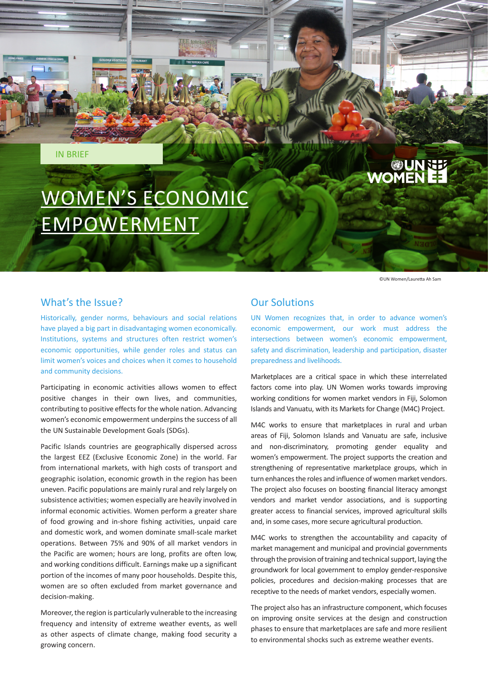IN BRIEF

# WOMEN'S ECONOMIC EMPOWERMENT

©UN Women/Lauretta Ah Sam

**OUNNEE** 

### What's the Issue?

Historically, gender norms, behaviours and social relations have played a big part in disadvantaging women economically. Institutions, systems and structures often restrict women's economic opportunities, while gender roles and status can limit women's voices and choices when it comes to household and community decisions.

Participating in economic activities allows women to effect positive changes in their own lives, and communities, contributing to positive effects for the whole nation. Advancing women's economic empowerment underpins the success of all the UN Sustainable Development Goals (SDGs).

Pacific Islands countries are geographically dispersed across the largest EEZ (Exclusive Economic Zone) in the world. Far from international markets, with high costs of transport and geographic isolation, economic growth in the region has been uneven. Pacific populations are mainly rural and rely largely on subsistence activities; women especially are heavily involved in informal economic activities. Women perform a greater share of food growing and in-shore fishing activities, unpaid care and domestic work, and women dominate small-scale market operations. Between 75% and 90% of all market vendors in the Pacific are women; hours are long, profits are often low, and working conditions difficult. Earnings make up a significant portion of the incomes of many poor households. Despite this, women are so often excluded from market governance and decision-making.

Moreover, the region is particularly vulnerable to the increasing frequency and intensity of extreme weather events, as well as other aspects of climate change, making food security a growing concern.

# Our Solutions

UN Women recognizes that, in order to advance women's economic empowerment, our work must address the intersections between women's economic empowerment, safety and discrimination, leadership and participation, disaster preparedness and livelihoods.

Marketplaces are a critical space in which these interrelated factors come into play. UN Women works towards improving working conditions for women market vendors in Fiji, Solomon Islands and Vanuatu, with its Markets for Change (M4C) Project.

M4C works to ensure that marketplaces in rural and urban areas of Fiji, Solomon Islands and Vanuatu are safe, inclusive and non-discriminatory, promoting gender equality and women's empowerment. The project supports the creation and strengthening of representative marketplace groups, which in turn enhances the roles and influence of women market vendors. The project also focuses on boosting financial literacy amongst vendors and market vendor associations, and is supporting greater access to financial services, improved agricultural skills and, in some cases, more secure agricultural production.

M4C works to strengthen the accountability and capacity of market management and municipal and provincial governments through the provision of training and technical support, laying the groundwork for local government to employ gender-responsive policies, procedures and decision-making processes that are receptive to the needs of market vendors, especially women.

The project also has an infrastructure component, which focuses on improving onsite services at the design and construction phases to ensure that marketplaces are safe and more resilient to environmental shocks such as extreme weather events.